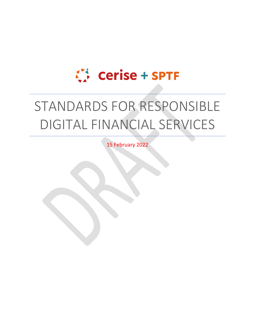# Cerise + SPTF

# STANDARDS FOR RESPONSIBLE DIGITAL FINANCIAL SERVICES

15 February 2022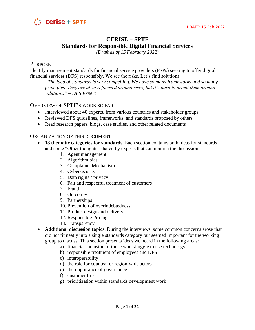

# **CERISE + SPTF Standards for Responsible Digital Financial Services**

*(Draft as of 15 February 2022)*

## PURPOSE

Identify management standards for financial service providers (FSPs) seeking to offer digital financial services (DFS) responsibly. We see the risks. Let's find solutions.

*"The idea of standards is very compelling. We have so many frameworks and so many principles. They are always focused around risks, but it's hard to orient them around solutions." – DFS Expert*

# OVERVIEW OF SPTF'S WORK SO FAR

- Interviewed about 40 experts, from various countries and stakeholder groups
- Reviewed DFS guidelines, frameworks, and standards proposed by others
- Read research papers, blogs, case studies, and other related documents

## ORGANIZATION OF THIS DOCUMENT

- **13 thematic categories for standards**. Each section contains both ideas for standards and some "Other thoughts" shared by experts that can nourish the discussion:
	- 1. Agent management
	- 2. Algorithm bias
	- 3. Complaints Mechanism
	- 4. Cybersecurity
	- 5. Data rights / privacy
	- 6. Fair and respectful treatment of customers
	- 7. Fraud
	- 8. Outcomes
	- 9. Partnerships
	- 10. Prevention of overindebtedness
	- 11. Product design and delivery
	- 12. Responsible Pricing
	- 13. Transparency
- **Additional discussion topics**. During the interviews, some common concerns arose that did not fit neatly into a single standards category but seemed important for the working group to discuss. This section presents ideas we heard in the following areas:
	- a) financial inclusion of those who struggle to use technology
	- b) responsible treatment of employees and DFS
	- c) interoperability
	- d) the role for country- or region-wide actors
	- e) the importance of governance
	- f) customer trust
	- g) prioritization within standards development work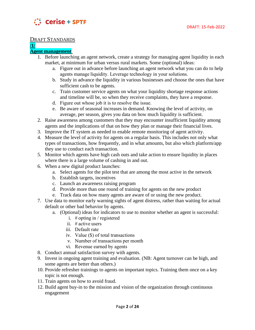

# DRAFT STANDARDS

#### **/1/ Agent management**

- 1. Before launching an agent network, create a strategy for managing agent liquidity in each market, at minimum for urban versus rural markets. Some (optional) ideas:
	- a. Figure out in advance before launching an agent network what you can do to help agents manage liquidity. Leverage technology in your solutions.
	- b. Study in advance the liquidity in various businesses and choose the ones that have sufficient cash to be agents.
	- c. Train customer service agents on what your liquidity shortage response actions and timeline will be, so when they receive complaints, they have a response.
	- d. Figure out whose job it is to resolve the issue.
	- e. Be aware of seasonal increases in demand. Knowing the level of activity, on average, per season, gives you data on how much liquidity is sufficient.
- 2. Raise awareness among customers that they may encounter insufficient liquidity among agents and the implications of that on how they plan or manage their financial lives.
- 3. Improve the IT system as needed to enable remote monitoring of agent activity.
- 4. Measure the level of activity for agents on a regular basis. This includes not only what types of transactions, how frequently, and in what amounts, but also which platform/app they use to conduct each transaction.
- 5. Monitor which agents have high cash outs and take action to ensure liquidity in places where there is a large volume of cashing in and out.
- 6. When a new digital product launches:
	- a. Select agents for the pilot test that are among the most active in the network
	- b. Establish targets, incentives
	- c. Launch an awareness raising program
	- d. Provide more than one round of training for agents on the new product
	- e. Track data on how many agents are aware of or using the new product.
- 7. Use data to monitor early warning sights of agent distress, rather than waiting for actual default or other bad behavior by agents.
	- a. (Optional) ideas for indicators to use to monitor whether an agent is successful:
		- i. # opting in / registered
		- ii. # active users
		- iii. Default rate
		- iv. Value (\$) of total transactions
		- v. Number of transactions per month
		- vi. Revenue earned by agents
- 8. Conduct annual satisfaction survey with agents.
- 9. Invest in ongoing agent training and evaluation. (NB: Agent turnover can be high, and some agents are better than others.)
- 10. Provide refresher trainings to agents on important topics. Training them once on a key topic is not enough.
- 11. Train agents on how to avoid fraud.
- 12. Build agent buy-in to the mission and vision of the organization through continuous engagement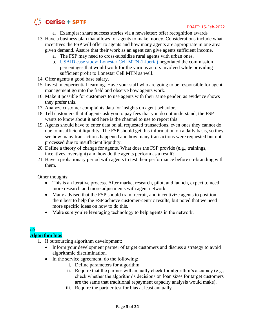

- a. Examples: share success stories via a newsletter; offer recognition awards
- 13. Have a business plan that allows for agents to make money. Considerations include what incentives the FSP will offer to agents and how many agents are appropriate in one area given demand. Assure that their work as an agent can give agents sufficient income.
	- a. The FSP may need to cross-subsidize rural agents with urban ones.
	- b. [USAID case study: Lonestar Cell MTN \(Liberia\)](https://www.usaid.gov/digital-development/2020-digital-finance-bright-spot-digital-payments-liberia) negotiated the commission percentages that would work for the various actors involved while providing sufficient profit to Lonestar Cell MTN as well.
- 14. Offer agents a good base salary.
- 15. Invest in experiential learning. Have your staff who are going to be responsible for agent management go into the field and observe how agents work.
- 16. Make it possible for customers to use agents with their same gender, as evidence shows they prefer this.
- 17. Analyze customer complaints data for insights on agent behavior.
- 18. Tell customers that if agents ask you to pay fees that you do not understand, the FSP wants to know about it and here is the channel to use to report this.
- 19. Agents should have to enter data on all requested transactions, even ones they cannot do due to insufficient liquidity. The FSP should get this information on a daily basis, so they see how many transactions happened and how many transactions were requested but not processed due to insufficient liquidity.
- 20. Define a theory of change for agents. What does the FSP provide (e.g., trainings, incentives, oversight) and how do the agents perform as a result?
- 21. Have a probationary period with agents to test their performance before co-branding with them.

- This is an iterative process. After market research, pilot, and launch, expect to need more research and more adjustments with agent network
- Many advised that the FSP should train, recruit, and incentivize agents to position them best to help the FSP achieve customer-centric results, but noted that we need more specific ideas on how to do this.
- Make sure you're leveraging technology to help agents in the network.

# **/2/ Algorithm bias**

- 1. If outsourcing algorithm development:
	- Inform your development partner of target customers and discuss a strategy to avoid algorithmic discrimination.
	- In the service agreement, do the following:
		- i. Define parameters for algorithm
		- ii. Require that the partner will annually check for algorithm's accuracy  $(e.g.,)$ check whether the algorithm's decisions on loan sizes for target customers are the same that traditional repayment capacity analysis would make).
		- iii. Require the partner test for bias at least annually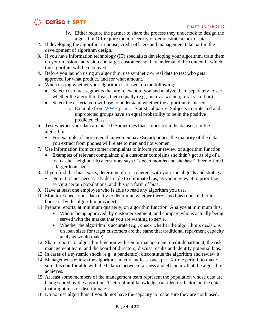

#### DRAFT: 15-Feb-2022

- iv. Either require the partner to share the process they undertook to design the algorithm OR require them to certify or demonstrate a lack of bias.
- 2. If developing the algorithm in-house, credit officers and management take part in the development of algorithm design.
- 3. If you have information technology (IT) specialists developing your algorithm, train them on your mission and vision and target customers so they understand the context in which the algorithm will be deployed.
- 4. Before you launch using an algorithm, use synthetic or real data to test who gets approved for what product, and for what amount.
- 5. When testing whether your algorithm is biased, do the following:
	- Select customer segments that are relevant to you and analyze them separately to see whether the algorithm treats them equally (e.g., men vs. women, rural vs. urban)
	- Select the criteria you will use to understand whether the algorithm is biased.
		- i. Example from [WWB paper:](https://www.womensworldbanking.org/wp-content/uploads/2021/02/2021_Algorithmic_Bias_Report.pdf) "Statistical parity: Subjects in protected and unprotected groups have an equal probability to be in the positive predicted class.
- 6. Test whether your data are biased. Sometimes bias comes from the dataset, not the algorithm.
	- For example, if more men than women have Smartphones, the majority of the data you extract from phones will relate to men and not women.
- 7. Use information from customer complaints to inform your review of algorithm function.
	- Examples of relevant complaints: a) a customer complains she didn't get as big of a loan as her neighbor; b) a customer says it's been months and she hasn't been offered a larger loan size.
- 8. If you find that bias exists, determine if it is coherent with your social goals and strategy.
	- Note: It is not necessarily desirable to eliminate bias, as you may want to prioritize serving certain populations, and this is a form of bias.
- 9. Have at least one employee who is able to read any algorithm you use.
- 10. Monitor / check your data daily to determine whether there is no bias (done either inhouse or by the algorithm provider).
- 11. Prepare reports, at minimum quarterly, on algorithm function. Analyze at minimum this:
	- Who is being approved, by customer segment, and compare who is actually being served with the market that you are wanting to serve.
	- Whether the algorithm is accurate (e.g., check whether the algorithm's decisions on loan sizes for target customers are the same that traditional repayment capacity analysis would make)
- 12. Share reports on algorithm function with senior management, credit department, the risk management team, and the board of directors; discuss results and identify potential bias.
- 13. In cases of a systemic shock (e.g., a pandemic), discontinue the algorithm and review it.
- 14. Management reviews the algorithm function at least once per [X time period] to make sure it is comfortable with the balance between fairness and efficiency that the algorithm achieves.
- 15. At least some members of the management team represent the population whose data are being scored by the algorithm. Their cultural knowledge can identify factors in the data that might bias or discriminate.
- 16. Do not use algorithms if you do not have the capacity to make sure they are not biased.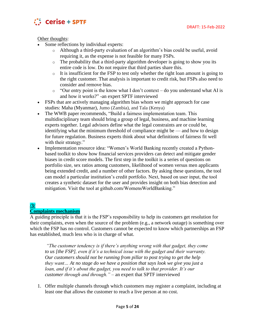

- Some reflections by individual experts:
	- o Although a third-party evaluation of an algorithm's bias could be useful, avoid requiring it, as the expense is not feasible for many FSPs.
	- o The probability that a third-party algorithm developer is going to show you its entire code is low. Do not require that third parties share this.
	- o It is insufficient for the FSP to test only whether the right loan amount is going to the right customer. That analysis is important to credit risk, but FSPs also need to consider and remove bias.
	- $\circ$  "Our entry point is the know what I don't context do you understand what AI is and how it works?" -an expert SPTF interviewed
- FSPs that are actively managing algorithm bias whom we might approach for case studies: Maha (Myanmar), Jumo (Zambia), and Tala (Kenya)
- The WWB paper recommends, "Build a fairness implementation team. This multidisciplinary team should bring a group of legal, business, and machine learning experts together. Legal advisors define what the legal constraints are or could be, identifying what the minimum threshold of compliance might be — and how to design for future regulation. Business experts think about what definitions of fairness fit well with their strategy."
- Implementation resource idea: "Women's World Banking recently created a Pythonbased toolkit to show how financial services providers can detect and mitigate gender biases in credit score models. The first step in the toolkit is a series of questions on portfolio size, sex ratios among customers, likelihood of women versus men applicants being extended credit, and a number of other factors. By asking these questions, the tool can model a particular institution's credit portfolio. Next, based on user input, the tool creates a synthetic dataset for the user and provides insight on both bias detection and mitigation. Visit the tool at github.com/WomensWorldBanking."

# **/3/ Complaints mechanism**

A guiding principle is that it is the FSP's responsibility to help its customers get resolution for their complaints, even when the source of the problem (e.g., a network outage) is something over which the FSP has no control. Customers cannot be expected to know which partnerships an FSP has established, much less who is in charge of what.

*"The customer tendency is if there's anything wrong with that gadget, they come to us [the FSP], even if it's a technical issue with the gadget and their warranty. Our customers should not be running from pillar to post trying to get the help they want… At no stage do we have a position that says look we give you just a loan, and if it's about the gadget, you need to talk to that provider. It's our customer through and through."* – an expert that SPTF interviewed

1. Offer multiple channels through which customers may register a complaint, including at least one that allows the customer to reach a live person at no cost.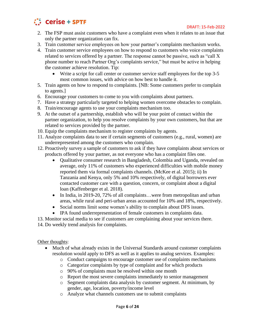

- 2. The FSP must assist customers who have a complaint even when it relates to an issue that only the partner organization can fix.
- 3. Train customer service employees on how your partner's complaints mechanism works.
- 4. Train customer service employees on how to respond to customers who voice complaints related to services offered by a partner. The response cannot be passive, such as "call X phone number to reach Partner Org's complaints service," but must be active in helping the customer achieve resolution. Tip:
	- Write a script for call center or customer service staff employees for the top 3-5 most common issues, with advice on how best to handle it.
- 5. Train agents on how to respond to complaints. [NB: Some customers prefer to complain to agents.]
- 6. Encourage your customers to come to you with complaints about partners.
- 7. Have a strategy particularly targeted to helping women overcome obstacles to complain.
- 8. Train/encourage agents to use your complaints mechanism too.
- 9. At the outset of a partnership, establish who will be your point of contact within the partner organization, to help you resolve complaints by your own customers, but that are related to services provided by the partner.
- 10. Equip the complaints mechanism to register complaints by agents.
- 11. Analyze complaints data to see if certain segments of customers (e.g., rural, women) are underrepresented among the customers who complain.
- 12. Proactively survey a sample of customers to ask if they have complaints about services or products offered by your partner, as not everyone who has a complaint files one.
	- Qualitative consumer research in Bangladesh, Colombia and Uganda, revealed on average, only 11% of customers who experienced difficulties with mobile money reported them via formal complaints channels. (McKee et al. 2015); ii) In Tanzania and Kenya, only 5% and 10% respectively, of digital borrowers ever contacted customer care with a question, concern, or complaint about a digital loan (Kaffenberger et al. 2018).
	- In India, in 2019-20, 72% of all complaints...were from metropolitan and urban areas, while rural and peri-urban areas accounted for 10% and 18%, respectively.
	- Social norms limit some women's ability to complain about DFS issues.
	- IPA found underrepresentation of female customers in complaints data.

13. Monitor social media to see if customers are complaining about your services there. 14. Do weekly trend analysis for complaints.

- Much of what already exists in the Universal Standards around customer complaints resolution would apply to DFS as well as it applies to analog services. Examples:
	- o Conduct campaigns to encourage customer use of complaints mechanisms
	- o Categorize complaints by type of complaint and for which products
	- o 90% of complaints must be resolved within one month
	- o Report the most severe complaints immediately to senior management
	- o Segment complaints data analysis by customer segment. At minimum, by gender, age, location, poverty/income level
	- o Analyze what channels customers use to submit complaints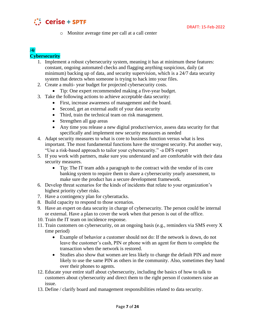

o Monitor average time per call at a call center

# **/4/ Cybersecurity**

- 1. Implement a robust cybersecurity system, meaning it has at minimum these features: constant, ongoing automated checks and flagging anything suspicious, daily (at minimum) backing up of data, and security supervision, which is a 24/7 data security system that detects when someone is trying to hack into your files.
- 2. Create a multi- year budget for projected cybersecurity costs.
	- Tip: One expert recommended making a five-year budget.
- 3. Take the following actions to achieve acceptable data security:
	- First, increase awareness of management and the board.
	- Second, get an external audit of your data security
	- Third, train the technical team on risk management.
	- Strengthen all gap areas
	- Any time you release a new digital product/service, assess data security for that specifically and implement new security measures as needed
- 4. Adapt security measures to what is core to business function versus what is less important. The most fundamental functions have the strongest security. Put another way, "Use a risk-based approach to tailor your cybersecurity." -a DFS expert
- 5. If you work with partners, make sure you understand and are comfortable with their data security measures.
	- Tip: The IT team adds a paragraph to the contract with the vendor of its core banking system to require them to share a cybersecurity yearly assessment, to make sure the product has a secure development framework.
- 6. Develop threat scenarios for the kinds of incidents that relate to your organization's highest priority cyber risks.
- 7. Have a contingency plan for cyberattacks.
- 8. Build capacity to respond to those scenarios.
- 9. Have an expert on data security in charge of cybersecurity. The person could be internal or external. Have a plan to cover the work when that person is out of the office.
- 10. Train the IT team on incidence response.
- 11. Train customers on cybersecurity, on an ongoing basis (e.g., reminders via SMS every X time period)
	- Example of behavior a customer should not do: If the network is down, do not leave the customer's cash, PIN or phone with an agent for them to complete the transaction when the network is restored.
	- Studies also show that women are less likely to change the default PIN and more likely to use the same PIN as others in the community. Also, sometimes they hand over their phones to agents.
- 12. Educate your entire staff about cybersecurity, including the basics of how to talk to customers about cybersecurity and direct them to the right person if customers raise an issue.
- 13. Define / clarify board and management responsibilities related to data security.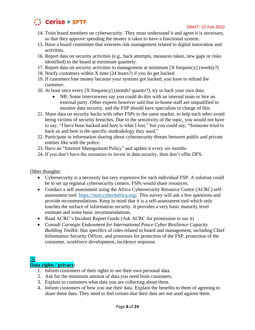

- 14. Train board members on cybersecurity. They must understand it and agree it is necessary, so that they approve spending the money it takes to have a functional system.
- 15. Have a board committee that oversees risk management related to digital innovation and activities.
- 16. Report data on security activities (e.g., hack attempts, measures taken, new gaps or risks identified) to the board at minimum quarterly.
- 17. Report data on security activities to management at minimum [X frequency] (weekly?)
- 18. Notify customers within X time (24 hours?) if you do get hacked
- 19. If customers lose money because your systems got hacked, you have to refund the customer.
- 20. At least once every [X frequency] (month? quarter?), try to hack your own data.
	- NB: Some interviewees say you could do this with an internal team or hire an external party. Other experts however said that in-house staff are unqualified to monitor data security, and the FSP should have specialists in charge of this.
- 21. Share data on security hacks with other FSPs in the same market, to help each other avoid being victims of security breaches. Due to the sensitivity of the topic, you would not have to say, "I have been hacked and here is what I lost," but you could say, "Someone tried to hack us and here is the specific methodology they used."
- 22. Participate in information sharing about cybersecurity threats between public and private entities like with the police.
- 23. Have an "Internet Management Policy" and update it every six months
- 24. If you don't have the resources to invest in data security, then don't offer DFS.

- Cybersecurity is a necessity but very expensive for each individual FSP. A solution could be to set up regional cybersecurity centers. FSPs would share resources.
- Conduct a self assessment using the Africa Cybersecurity Resource Centre (ACRC) selfassessment tool: [https://start.cyber4africa.org/.](https://start.cyber4africa.org/) This survey will ask a few questions and provide recommendations. Keep in mind that it is a self-assessment tool which only touches the surface of information security. It provides a very basic maturity level estimate and some basic recommendations.
- Read ACRC's Incident Report Guide (Ask ACRC for permission to see it)
- Consult *Carnegie Endowment for International Peace Cyber Resilience Capacity Building Toolkit*. Has specifics of roles related to board and management, including Chief Information Security Officer, and processes for protection of the FSP, protection of the consumer, workforce development, incidence response.

# **/5/**

# **Data rights / privacy:**

- 1. Inform customers of their rights to see their own personal data.
- 2. Ask for the minimum amount of data you need from customers.
- 3. Explain to customers what data you are collecting about them.
- 4. Inform customers of how you use their data. Explain the benefits to them of agreeing to share these data. They need to feel certain that their data are not used against them.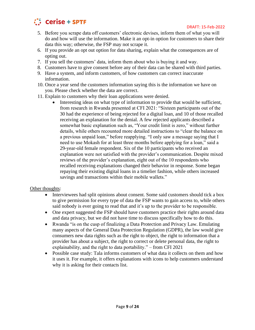

- 5. Before you scrape data off customers' electronic devises, inform them of what you will do and how will use the information. Make it an opt-in option for customers to share their data this way; otherwise, the FSP may not scrape it.
- 6. If you provide an opt out option for data sharing, explain what the consequences are of opting out.
- 7. If you sell the customers' data, inform them about who is buying it and way.
- 8. Customers have to give consent before any of their data can be shared with third parties.
- 9. Have a system, and inform customers, of how customers can correct inaccurate information.
- 10. Once a year send the customers information saying this is the information we have on you. Please check whether the data are correct.
- 11. Explain to customers why their loan applications were denied.
	- Interesting ideas on what type of information to provide that would be sufficient, from research in Rwanda presented at CFI 2021: "Sixteen participants out of the 30 had the experience of being rejected for a digital loan, and 10 of those recalled receiving an explanation for the denial. A few rejected applicants described a somewhat basic explanation such as, "Your credit limit is zero," without further details, while others recounted more detailed instructions to "clear the balance on a previous unpaid loan," before reapplying. "I only saw a message saying that I need to use Mokash for at least three months before applying for a loan," said a 29-year-old female respondent. Six of the 10 participants who received an explanation were not satisfied with the provider's communication. Despite mixed reviews of the provider's explanation, eight out of the 10 respondents who recalled receiving explanations changed their behavior in response. Some began repaying their existing digital loans in a timelier fashion, while others increased savings and transactions within their mobile wallets."

- Interviewees had split opinions about consent. Some said customers should tick a box to give permission for every type of data the FSP wants to gain access to, while others said nobody is ever going to read that and it's up to the provider to be responsible.
- One expert suggested the FSP should have customers practice their rights around data and data privacy, but we did not have time to discuss specifically how to do this.
- Rwanda "is on the cusp of finalizing a Data Protection and Privacy Law. Emulating many aspects of the General Data Protection Regulation (GDPR), the law would give consumers new data rights such as the right to object, the right to information that a provider has about a subject, the right to correct or delete personal data, the right to explainability, and the right to data portability." – from CFI 2021
- Possible case study: Tala informs customers of what data it collects on them and how it uses it. For example, it offers explanations with icons to help customers understand why it is asking for their contacts list.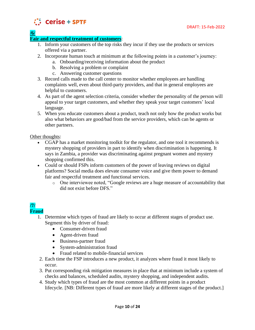

**/6/**

# **Fair and respectful treatment of customers**:

- 1. Inform your customers of the top risks they incur if they use the products or services offered via a partner.
- 2. Incorporate human touch at minimum at the following points in a customer's journey:
	- a. Onboarding/receiving information about the product
	- b. Resolving a problem or complaint
	- c. Answering customer questions
- 3. Record calls made to the call center to monitor whether employees are handling complaints well, even about third-party providers, and that in general employees are helpful to customers.
- 4. As part of the agent selection criteria, consider whether the personality of the person will appeal to your target customers, and whether they speak your target customers' local language.
- 5. When you educate customers about a product, teach not only how the product works but also what behaviors are good/bad from the service providers, which can be agents or other partners.

Other thoughts:

- CGAP has a market monitoring toolkit for the regulator, and one tool it recommends is mystery shopping of providers in part to identify when discrimination is happening. It says in Zambia, a provider was discriminating against pregnant women and mystery shopping confirmed this.
- Could or should FSPs inform customers of the power of leaving reviews on digital platforms? Social media does elevate consumer voice and give them power to demand fair and respectful treatment and functional services.
	- o One interviewee noted, "Google reviews are a huge measure of accountability that did not exist before DFS."

## **/7/ Fraud**

- 1. Determine which types of fraud are likely to occur at different stages of product use. Segment this by driver of fraud:
	- Consumer-driven fraud
	- Agent-driven fraud
	- Business-partner fraud
	- System-administration fraud
	- Fraud related to mobile-financial services
- 2. Each time the FSP introduces a new product, it analyzes where fraud it most likely to occur.
- 3. Put corresponding risk mitigation measures in place that at minimum include a system of checks and balances, scheduled audits, mystery shopping, and independent audits.
- 4. Study which types of fraud are the most common at different points in a product lifecycle. [NB: Different types of fraud are more likely at different stages of the product.]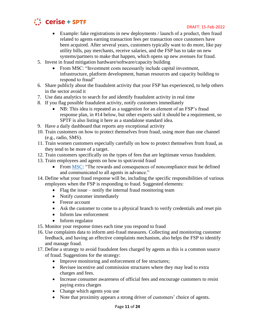

- Example: fake registrations in new deployments / launch of a product, then fraud related to agents earning transaction fees per transaction once customers have been acquired. After several years, customers typically want to do more, like pay utility bills, pay merchants, receive salaries, and the FSP has to take on new systems/partners to make that happen, which opens up new avenues for fraud.
- 5. Invest in fraud mitigation hardware/software/capacity building
	- From MSC: "Investment costs necessarily include capital investment, infrastructure, platform development, human resources and capacity building to respond to fraud"
- 6. Share publicly about the fraudulent activity that your FSP has experienced, to help others in the sector avoid it
- 7. Use data analytics to search for and identify fraudulent activity in real time
- 8. If you flag possible fraudulent activity, notify customers immediately
	- NB: This idea is repeated as a suggestion for an element of an FSP's fraud response plan, in #14 below, but other experts said it should be a requirement, so SPTF is also listing it here as a standalone standard idea.
- 9. Have a daily dashboard that reports any exceptional activity
- 10. Train customers on how to protect themselves from fraud, using more than one channel (e.g., radio, SMS).
- 11. Train women customers especially carefully on how to protect themselves from fraud, as they tend to be more of a target.
- 12. Train customers specifically on the types of fees that are legitimate versus fraudulent.
- 13. Train employees and agents on how to spot/avoid fraud
	- From [MSC:](https://www.microsave.net/files/pdf/RP151_Fraud_in_Mobile_Financial_Services_JMudiri.pdf) "The rewards and consequences of noncompliance must be defined and communicated to all agents in advance."
- 14. Define what your fraud response will be, including the specific responsibilities of various employees when the FSP is responding to fraud. Suggested elements:
	- Flag the issue notify the internal fraud monitoring team
	- Notify customer immediately
	- Freeze account
	- Ask the customer to come to a physical branch to verify credentials and reset pin
	- Inform law enforcement
	- Inform regulator
- 15. Monitor your response times each time you respond to fraud
- 16. Use complaints data to inform anti-fraud measures. Collecting and monitoring customer feedback, and having an effective complaints mechanism, also helps the FSP to identify and manage fraud.
- 17. Define a strategy to avoid fraudulent fees charged by agents as this is a common source of fraud. Suggestions for the strategy:
	- Improve monitoring and enforcement of fee structures;
	- Revisee incentive and commission structures where they may lead to extra charges and fees.
	- Increase consumer awareness of official fees and encourage customers to resist paying extra charges
	- Change which agents you use
	- Note that proximity appears a strong driver of customers' choice of agents.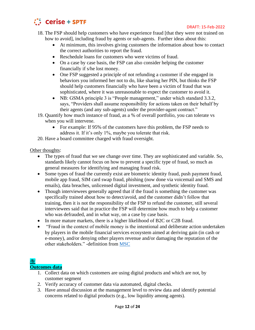

#### DRAFT: 15-Feb-2022

- 18. The FSP should help customers who have experience fraud [that they were not trained on how to avoid], including fraud by agents or sub-agents. Further ideas about this:
	- At minimum, this involves giving customers the information about how to contact the correct authorities to report the fraud.
	- Reschedule loans for customers who were victims of fraud.
	- On a case by case basis, the FSP can also consider helping the customer financially if s/he lost money.
	- One FSP suggested a principle of not refunding a customer if she engaged in behaviors you informed her not to do, like sharing her PIN, but thinks the FSP should help customers financially who have been a victim of fraud that was sophisticated, where it was unreasonable to expect the customer to avoid it.
	- NB: GSMA principle 3 is "People management," under which standard 3.3.2, says, "Providers shall assume responsibility for actions taken on their behalf by their agents (and any sub-agents) under the provider-agent contract."
- 19. Quantify how much instance of fraud, as a % of overall portfolio, you can tolerate vs when you will intervene.
	- For example: If 95% of the customers have this problem, the FSP needs to address it. If it's only 1%, maybe you tolerate that risk.
- 20. Have a board committee charged with fraud oversight.

## Other thoughts:

- The types of fraud that we see change over time. They are sophisticated and variable. So, standards likely cannot focus on how to prevent a specific type of fraud, so much as general measures for identifying and managing fraud risk.
- Some types of fraud the currently exist are biometric identity fraud, push payment fraud, mobile app fraud, SIM card swap fraud, phishing (now done via voicemail and SMS and emails), data breaches, unlicensed digital investment, and synthetic identity fraud.
- Though interviewees generally agreed that if the fraud is something the customer was specifically trained about how to detect/avoid, and the customer didn't follow that training, then it is not the responsibility of the FSP to refund the customer, still several interviewees said that in practice the FSP will determine how much to help a customer who was defrauded, and in what way, on a case by case basis.
- In more mature markets, there is a higher likelihood of B2C or C2B fraud.
- "Fraud in the context of mobile money is the intentional and deliberate action undertaken by players in the mobile financial services ecosystem aimed at deriving gain (in cash or e-money), and/or denying other players revenue and/or damaging the reputation of the other stakeholders." -definition from [MSC](https://www.microsave.net/files/pdf/RP151_Fraud_in_Mobile_Financial_Services_JMudiri.pdf)

# **/8/**

## **Outcomes data**

- 1. Collect data on which customers are using digital products and which are not, by customer segment
- 2. Verify accuracy of customer data via automated, digital checks.
- 3. Have annual discussion at the management level to review data and identify potential concerns related to digital products (e.g., low liquidity among agents).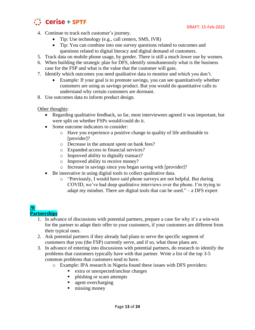



- 4. Continue to track each customer's journey.
	- Tip: Use technology (e.g., call centers, SMS, IVR)
	- Tip: You can combine into one survey questions related to outcomes and questions related to digital literacy and digital demand of customers.
- 5. Track data on mobile phone usage, by gender. There is still a much lower use by women.
- 6. When building the strategic plan for DFS, identify simultaneously what is the business case for the FSP and what is the value that the customer will gain.
- 7. Identify which outcomes you need qualitative data to monitor and which you don't.
	- Example: If your goal is to promote savings, you can see quantitatively whether customers are using as savings product. But you would do quantitative calls to understand why certain customers are dormant.
- 8. Use outcomes data to inform product design.

- Regarding qualitative feedback, so far, most interviewees agreed it was important, but were split on whether FSPs would/could do it.
- Some outcome indicators to consider:
	- o Have you experience a positive change in quality of life attributable to [provider]?
	- o Decrease in the amount spent on bank fees?
	- o Expanded access to financial services?
	- o Improved ability to digitally transact?
	- o Improved ability to receive money?
	- o Increase in savings since you began saving with [provider]?
- Be innovative in using digital tools to collect qualitative data.
	- o "Previously, I would have said phone surveys are not helpful. But during COVID, we've had deep qualitative interviews over the phone. I'm trying to adapt my mindset. There are digital tools that can be used." – a DFS expert

# **/9/**

# **Partnerships**

- 1. In advance of discussions with potential partners, prepare a case for why it's a win-win for the partner to adapt their offer to your customers, if your customers are different from their typical ones.
- 2. Ask potential partners if they already had plans to serve the specific segment of customers that you (the FSP) currently serve, and if so, what those plans are.
- 3. In advance of entering into discussions with potential partners, do research to identify the problems that customers typically have with that partner. Write a list of the top 3-5 common problems that customers tend to have.
	- o Example: IPA research in Nigeria found these issues with DFS providers:
		- extra or unexpected/unclear charges
		- **•** phishing or scam attempts
		- agent overcharging
		- $\blacksquare$  missing money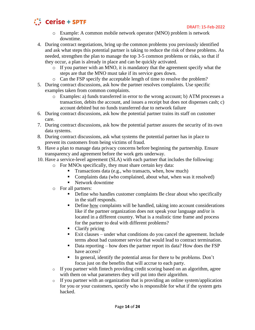

- o Example: A common mobile network operator (MNO) problem is network downtime.
- 4. During contract negotiations, bring up the common problems you previously identified and ask what steps this potential partner is taking to reduce the risk of these problems. As needed, strengthen the plan to manage the top 3-5 common problems or risks, so that if they occur, a plan is already in place and can be quickly activated.
	- o If you partner with an MNO, it is mandatory that the agreement specify what the steps are that the MNO must take if its service goes down.
	- o Can the FSP specify the acceptable length of time to resolve the problem?
- 5. During contract discussions, ask how the partner resolves complaints. Use specific examples taken from common complaints.
	- o Examples: a) funds transferred in error to the wrong account; b) ATM processes a transaction, debits the account, and issues a receipt but does not dispenses cash; c) account debited but no funds transferred due to network failure
- 6. During contract discussions, ask how the potential partner trains its staff on customer care.
- 7. During contract discussions, ask how the potential partner assures the security of its own data systems.
- 8. During contract discussions, ask what systems the potential partner has in place to prevent its customers from being victims of fraud.
- 9. Have a plan to manage data privacy concerns before beginning the partnership. Ensure transparency and agreement before the work gets underway.
- 10. Have a service-level agreement (SLA) with each partner that includes the following:
	- o For MNOs specifically, they must share certain key data:
		- Transactions data (e.g., who transacts, when, how much)
		- Complaints data (who complained, about what, when was it resolved)
		- Network downtime
	- o For all partners:
		- **•** Define who handles customer complaints Be clear about who specifically in the staff responds.
		- **•** Define how complaints will be handled, taking into account considerations like if the partner organization does not speak your language and/or is located in a different country. What is a realistic time frame and process for the partner to deal with different problems?
		- Clarify pricing
		- Exit clauses under what conditions do you cancel the agreement. Include terms about bad customer service that would lead to contract termination.
		- Data reporting how does the partner report its data? How does the FSP have access?
		- In general, identify the potential areas for there to be problems. Don't focus just on the benefits that will accrue to each party.
	- o If you partner with fintech providing credit scoring based on an algorithm, agree with them on what parameters they will put into their algorithm.
	- o If you partner with an organization that is providing an online system/application for you or your customers, specify who is responsible for what if the system gets hacked.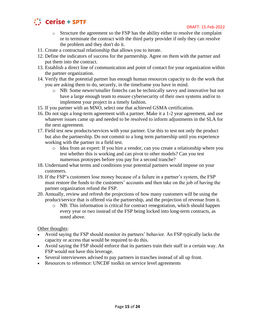

- $\circ$  Structure the agreement so the FSP has the ability either to resolve the complaint or to terminate the contract with the third party provider if only they can resolve the problem and they don't do it.
- 11. Create a contractual relationship that allows you to iterate.
- 12. Define the indicators of success for the partnership. Agree on them with the partner and put them into the contract.
- 13. Establish a direct line of communication and point of contact for your organization within the partner organization.
- 14. Verify that the potential partner has enough human resources capacity to do the work that you are asking them to do, securely, in the timeframe you have in mind.
	- o NB: Some newer/smaller fintechs can be technically savvy and innovative but not have a large enough team to ensure cybersecurity of their own systems and/or to implement your project in a timely fashion.
- 15. If you partner with an MNO, select one that achieved GSMA certification.
- 16. Do not sign a long-term agreement with a partner. Make it a 1-2 year agreement, and use whatever issues came up and needed to be resolved to inform adjustments in the SLA for the next agreement.
- 17. Field test new products/services with your partner. Use this to test not only the product but also the partnership. Do not commit to a long term partnership until you experience working with the partner in a field test.
	- o Idea from an expert: If you hire a vendor, can you create a relationship where you test whether this is working and can pivot to other models? Can you test numerous protoypes before you pay for a second tranche?
- 18. Understand what terms and conditions your potential partners would impose on your customers.
- 19. If the FSP's customers lose money because of a failure in a partner's system, the FSP must restore the funds to the customers' accounts and then take on the job of having the partner organization refund the FSP.
- 20. Annually, review and refresh the projections of how many customers will be using the product/service that is offered via the partnership, and the projection of revenue from it.
	- o NB: This information is critical for contract renegotiation, which should happen every year or two instead of the FSP being locked into long-term contracts, as noted above.

- Avoid saying the FSP should monitor its partners' behavior. An FSP typically lacks the capacity or access that would be required to do this.
- Avoid saying the FSP should enforce that its partners train their staff in a certain way. An FSP would not have this leverage.
- Several interviewees advised to pay partners in tranches instead of all up front.
- Resources to reference: UNCDF toolkit on service level agreements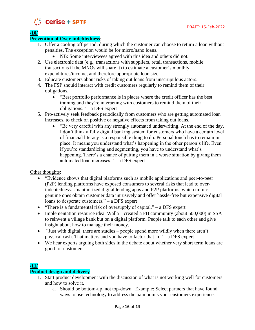

**/10/**

# **Prevention of Over-indebtedness**:

- 1. Offer a cooling off period, during which the customer can choose to return a loan without penalties. The exception would be for micro/nano loans.
	- NB: Some interviewees agreed with this idea and others did not.
- 2. Use electronic data (e.g., transactions with suppliers, retail transactions, mobile transactions if the MNOs will share it) to estimate a customer's monthly expenditures/income, and therefore appropriate loan size.
- 3. Educate customers about risks of taking out loans from unscrupulous actors.
- 4. The FSP should interact with credit customers regularly to remind them of their obligations.
	- "Best portfolio performance is in places where the credit officer has the best training and they're interacting with customers to remind them of their obligations." – a DFS expert
- 5. Pro-actively seek feedback periodically from customers who are getting automated loan increases, to check on positive or negative effects from taking out loans.
	- "Be very careful with any strongly automated underwriting. At the end of the day, I don't think a fully digital banking system for customers who have a certain level of financial literacy is a responsible thing to do. Personal touch has to remain in place. It means you understand what's happening in the other person's life. Even if you're standardizing and segmenting, you have to understand what's happening. There's a chance of putting them in a worse situation by giving them automated loan increases." – a DFS expert

Other thoughts:

- "Evidence shows that digital platforms such as mobile applications and peer-to-peer (P2P) lending platforms have exposed consumers to several risks that lead to overindebtedness. Unauthorized digital lending apps and P2P platforms, which mimic genuine ones obtain customer data intrusively and offer hassle-free but expensive digital loans to desperate customers." – a DFS expert
- "There is a fundamental risk of oversupply of capital."  $-$  a DFS expert
- Implementation resource idea: Walla created a FB community (about 500,000) in SSA to reinvent a village bank but on a digital platform. People talk to each other and give insight about how to manage their money.
- "Just with digital, there are studies people spend more wildly when there aren't physical cash. That matters and you have to factor that in." – a DFS expert
- We hear experts arguing both sides in the debate about whether very short term loans are good for customers.

# **/11/**

# **Product design and delivery**

- 1. Start product development with the discussion of what is not working well for customers and how to solve it.
	- a. Should be bottom-up, not top-down. Example: Select partners that have found ways to use technology to address the pain points your customers experience.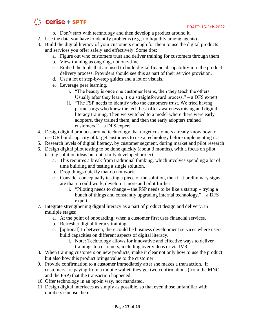

- b. Don't start with technology and then develop a product around it.
- 2. Use the data you have to identify problems (e.g., no liquidity among agents)
- 3. Build the digital literacy of your customers enough for them to use the digital products and services you offer safely and effectively. Some tips:
	- a. Figure out who customers trust and deliver training for customers through them
	- b. View training as ongoing, not one-time
	- c. Embed the tools that are used to build digital financial capability into the product delivery process. Providers should see this as part of their service provision.
	- d. Use a lot of step-by-step guides and a lot of visuals.
	- e. Leverage peer learning.
		- i. "The beauty is once one customer learns, then they teach the others. Usually after they learn, it's a straightforward process." – a DFS expert
		- ii. "The FSP needs to identify who the customers trust. We tried having partner orgs who knew the tech best offer awareness raising and digital literacy training. Then we switched to a model where there were early adopters, they trained them, and then the early adopters trained customers." – a DFS expert
- 4. Design digital products around technology that target customers already know how to use OR build capacity of target customers to use a technology before implementing it.
- 5. Research levels of digital literacy, by customer segment, during market and pilot research
- 6. Design digital pilot testing to be done quickly (about 3 months), with a focus on pilot testing solution ideas but not a fully developed project.
	- a. This requires a break from traditional thinking, which involves spending a lot of time building and testing a single solution.
	- b. Drop things quickly that do not work.
	- c. Consider conceptually testing a piece of the solution, then if it preliminary signs are that it could work, develop it more and pilot further.
		- i. "Piloting needs to change the FSP needs to be like a startup trying a bunch of things and constantly upgrading internal technology." – a DFS expert
- 7. Integrate strengthening digital literacy as a part of product design and delivery, in multiple stages:
	- a. At the point of onboarding, when a customer first uses financial services.
	- b. Refresher digital literacy training
	- c. [optional] In between, there could be business development services where users build capacities on different aspects of digital literacy.
		- i. Note: Technology allows for innovative and effective ways to deliver trainings to customers, including over videos or via IVR
- 8. When training customers on new products, make it clear not only how to use the product but also how this product brings value to the customer.
- 9. Provide confirmation to a customer immediately after she makes a transaction. If customers are paying from a mobile wallet, they get two confirmations (from the MNO and the FSP) that the transaction happened.
- 10. Offer technology in an opt-in way, not mandated.
- 11. Design digital interfaces as simply as possible, so that even those unfamiliar with numbers can use them.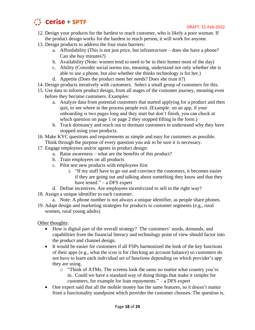

- 12. Design your products for the hardest to reach customer, who is likely a poor woman. If the product design works for the hardest to reach person, it will work for anyone.
- 13. Design products to address the four main barriers:
	- a. Affordability (This is not just price, but infrastructure does she have a phone? Can she buy minutes?)
	- b. Availability (Note: women tend to need to be in their homes most of the day)
	- c. Ability (Consider social norms too, meaning, understand not only whether she is able to use a phone, but also whether she thinks technology is for her.)
	- d. Appetite (Does the product meet her needs? Does she trust it?)
- 14. Design products iteratively with customers. Select a small group of customers for this.
- 15. Use data to inform product design, from all stages of the customer journey, meaning even before they become customers. Examples:
	- a. Analyze data from potential customers that started applying for a product and then quit, to see where in the process people exit. (Example: on an app, if your onboarding is two pages long and they start but don't finish, you can check at which question on page 1 or page 2 they stopped filling in the form.)
	- b. Track dormancy and reach out to dormant customers to understand why they have stopped using your products.
- 16. Make KYC questions and requirements as simple and easy for customers as possible. Think through the purpose of every question you ask to be sure it is necessary.
- 17. Engage employees and/or agents in product design:
	- a. Raise awareness what are the benefits of this product?
	- b. Train employees on all products
	- c. Pilot test new products with employees first
		- i. "If my staff have to go out and convince the customers, it becomes easier if they are going out and talking about something they know and that they have tested." – a DFS expert
	- d. Define incentives. Are employees incentivized to sell in the right way?
- 18. Assign a unique identifier to each customer.
	- a. Note: A phone number is not always a unique identifier, as people share phones.
- 19. Adapt design and marketing strategies for products to customer segments (e.g., rural women, rural young adults)

- How is digital part of the overall strategy? The customers' needs, demands, and capabilities from the financial literacy and technology point of view should factor into the product and channel design.
- It would be easier for customers if all FSPs harmonized the look of the key functions of their apps (e.g., what the icon is for checking an account balance) so customers do not have to learn each individual set of functions depending on which provider's app they are using.
	- o "Think of ATMs. The screens look the same no matter what country you're in. Could we have a standard way of doing things that make it simpler for customers, for example for loan repayments." – a DFS expert
- One expert said that all the mobile money has the same features, so it doesn't matter from a functionality standpoint which provider the customer chooses. The question is,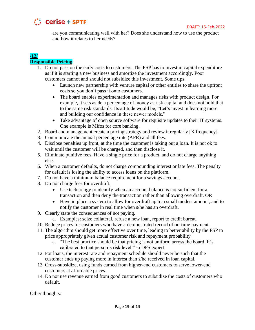

are you communicating well with her? Does she understand how to use the product and how it relates to her needs?

## **/12/ Responsible Pricing**:

- 1. Do not pass on the early costs to customers. The FSP has to invest in capital expenditure as if it is starting a new business and amortize the investment accordingly. Poor customers cannot and should not subsidize this investment. Some tips:
	- Launch new partnership with venture capital or other entities to share the upfront costs so you don't pass it onto customers.
	- The board enables experimentation and manages risks with product design. For example, it sets aside a percentage of money as risk capital and does not hold that to the same risk standards. Its attitude would be, "Let's invest in learning more and building our confidence in these newer models."
	- Take advantage of open source software for requisite updates to their IT systems. One example is Mifos for core banking.
- 2. Board and management create a pricing strategy and review it regularly [X frequency].
- 3. Communicate the annual percentage rate (APR) and all fees.
- 4. Disclose penalties up front, at the time the customer is taking out a loan. It is not ok to wait until the customer will be charged, and then disclose it.
- 5. Eliminate punitive fees. Have a single price for a product, and do not charge anything else.
- 6. When a customer defaults, do not charge compounding interest or late fees. The penalty for default is losing the ability to access loans on the platform.
- 7. Do not have a minimum balance requirement for a savings account.
- 8. Do not charge fees for overdraft.
	- Use technology to identify when an account balance is not sufficient for a transaction and then deny the transaction rather than allowing overdraft. OR
	- Have in place a system to allow for overdraft up to a small modest amount, and to notify the customer in real time when s/he has an overdraft.
- 9. Clearly state the consequences of not paying.
	- a. Examples: seize collateral, refuse a new loan, report to credit bureau
- 10. Reduce prices for customers who have a demonstrated record of on-time payment.
- 11. The algorithm should get more effective over time, leading to better ability by the FSP to price appropriately given actual customer risk and repayment probability
	- a. "The best practice should be that pricing is not uniform across the board. It's calibrated to that person's risk level." -a DFS expert
- 12. For loans, the interest rate and repayment schedule should never be such that the customer ends up paying more in interest than s/he received in loan capital.
- 13. Cross-subsidize, using funds earned from higher-end customers to serve lower-end customers at affordable prices.
- 14. Do not use revenue earned from good customers to subsidize the costs of customers who default.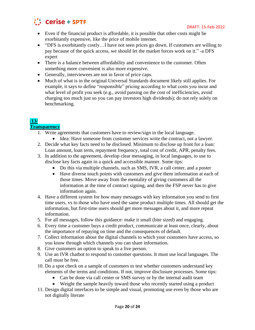

- Even if the financial product is affordable, it is possible that other costs might be exorbitantly expensive, like the price of mobile internet.
- "DFS is exorbitantly costly...I have not seen prices go down. If customers are willing to pay because of the quick access, we should let the market forces work on it." -a DFS expert
- There is a balance between affordability and convenience to the customer. Often something more convenient is also more expensive.
- Generally, interviewees are not in favor of price caps.
- Much of what is in the original Universal Standards document likely still applies. For example, it says to define "responsible" pricing according to what costs you incur and what level of profit you seek (e.g., avoid passing on the cost of inefficiencies, avoid charging too much just so you can pay investors high dividends); do not rely solely on benchmarking.

## **/13/ Transparency**

- 1. Write agreements that customers have to review/sign in the local language.
	- Idea: Have someone from customer services write the contract, not a lawyer.
- 2. Decide what key facts need to be disclosed. Minimum to disclose up front for a loan: Loan amount, loan term, repayment frequency, total cost of credit, APR, penalty fees.
- 3. In addition to the agreement, develop clear messaging, in local languages, to use to disclose key facts again in a quick and accessible manner. Some tips:
	- Do this via multiple channels, such as SMS, IVR, a call center, and a poster
	- Have diverse touch points with customers and give them information at each of those times. Move away from the mentality of giving customers all the information at the time of contract signing, and then the FSP never has to give information again.
- 4. Have a different system for how many messages with key information you send to first time users, vs to those who have used the same product multiple times. All should get the information, but first-time users should get more messages about it, and more repeat information.
- 5. For all messages, follow this guidance: make it small (bite sized) and engaging.
- 6. Every time a customer buys a credit product, communicate at least once, clearly, about the importance of repaying on time and the consequences of default.
- 7. Collect information about the digital channels to which your customers have access, so you know through which channels you can share information.
- 8. Give customers an option to speak to a live person.
- 9. Use an IVR chatbot to respond to customer questions. It must use local languages. The call must be free.
- 10. Do a spot check on a sample of customers to test whether customers understand key elements of the terms and conditions. If not, improve disclosure processes. Some tips:
	- Can be done via call center or SMS survey or by the internal audit team
	- Weight the sample heavily toward those who recently started using a product
- 11. Design digital interfaces to be simple and visual, promoting use even by those who are not digitally literate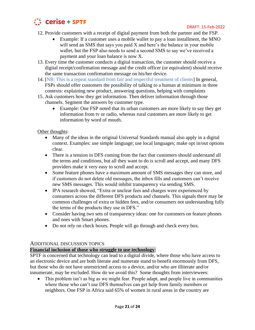

- 12. Provide customers with a receipt of digital payment from both the partner and the FSP.
	- Example: If a customer uses a mobile wallet to pay a loan installment, the MNO will send an SMS that says you paid X and here's the balance in your mobile wallet, but the FSP also needs to send a second SMS to say we've received a payment and your loan balance is now X.
- 13. Every time the customer conducts a digital transaction, the customer should receive a digital receipt/confirmation message and the credit officer (or equivalent) should receive the same transaction confirmation message on his/her device.
- 14. [NB: This is a repeat standard from fair and respectful treatment of clients] In general, FSPs should offer customers the possibility of talking to a human at minimum in three contexts: explaining new product, answering questions, helping with complaints
- 15. Ask customers how they get information. Then deliver information through those channels. Segment the answers by customer type.
	- Example: One FSP noted that its urban customers are more likely to say they get information from tv or radio, whereas rural customers are more likely to get information by word of mouth.

- Many of the ideas in the original Universal Standards manual also apply in a digital context. Examples: use simple language; use local languages; make opt in/out options clear.
- There is a tension in DFS coming from the fact that customers should understand all the terms and conditions, but all they want to do is scroll and accept, and many DFS providers make it very easy to scroll and accept.
- Some feature phones have a maximum amount of SMS messages they can store, and if customers do not delete old messages, the inbox fills and customers can't receive new SMS messages. This would inhibit transparency via sending SMS.
- IPA research showed, "Extra or unclear fees and charges were experienced by consumers across the different DFS products and channels. This signals there may be common challenges of extra or hidden fees, and/or consumers not understanding fully the terms of the products they use in DFS."
- Consider having two sets of transparency ideas: one for customers on feature phones and ones with Smart phones.
- Do not rely on check boxes. People will go through and check every box.

## ADDITIONAL DISCUSSION TOPICS

## **Financial inclusion of those who struggle to use technology**:

SPTF is concerned that technology can lead to a digital divide, where those who have access to an electronic device and are both literate and numerate stand to benefit enormously from DFS, but those who do not have unrestricted access to a device, and/or who are illiterate and/or innumerate, may be excluded. How do we avoid this? Some thoughts from interviewees:

• This problem isn't as big as we might fear. People adapt, and people live in communities where those who can't use DFS themselves can get help from family members or neighbors. One FSP in Africa said 65% of women in rural areas in the country are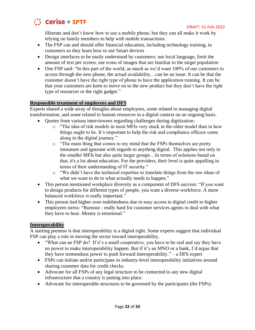

illiterate and don't know how to use a mobile phone, but they can all make it work by relying on family members to help with mobile transactions.

- The FSP can and should offer financial education, including technology training, to customers so they learn how to use Smart devices
- Design interfaces to be easily understood by customers: use local language, limit the amount of text per screen, use icons of images that are familiar to the target population
- One FSP said: "In this part of the world, as much as we'd want 100% of our customers to access through the new phone, the actual availability…can be an issue. It can be that the customer doesn't have the right type of phone to have the application running. It can be that your customers are keen to move on to the new product but they don't have the right type of resources or the right gadget."

## **Responsible treatment of employees and DFS**

Experts shared a wide array of thoughts about employees, some related to managing digital transformation, and some related to human resources in a digital context on an ongoing basis.

- Quotes from various interviewees regarding challenges during digitization:
	- o "The idea of risk models in most MFIs very stuck in the older model than in how things ought to be. It's important to help the risk and compliance officers come along in the digital journey."
	- $\circ$  "The main thing that comes to my mind that the FSPs themselves are pretty immature and ignorant with regards to anything digital. This applies not only to the smaller MFIs but also quite larger groups…In terms of solutions based on that, it's a lot about education. For the providers, their level is quite appalling in terms of their understanding of IT security."
	- o "We didn't have the technical expertise to translate things from the raw ideas of what we want to do to what actually needs to happen."
- This person mentioned workplace diversity as a component of DFS success: "If you want to design products for different types of people, you want a diverse workforce. A more balanced workforce is really important."
- This person tied higher over-indebtedness due to easy access to digital credit to higher employees stress: "Burnout - really hard for customer services agents to deal with what they have to hear. Money is emotional."

# **Interoperability**

A starting premise is that interoperability is a digital right. Some experts suggest that individual FSP can play a role in moving the sector toward interoperability.

- "What can an FSP do? If it's a small cooperative, you have to be real and say they have no power to make interoperability happen. But if it's an MNO or a bank, I'd argue that they have tremendous power to push forward interoperability." – a DFS expert
- FSPs can initiate and/or participate in industry-level interoperability initiatives around sharing customer data for credit checks.
- Advocate for all FSPs of any legal structure to be connected to any new digital infrastructure that a country is putting into place.
- Advocate for interoperable structures to be governed by the participants (the FSPs).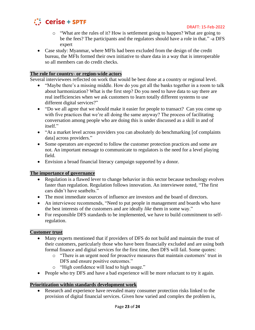

- $\circ$  "What are the rules of it? How is settlement going to happen? What are going to be the fees? The participants and the regulators should have a role in that." -a DFS expert
- Case study: Myanmar, where MFIs had been excluded from the design of the credit bureau, the MFIs formed their own initiative to share data in a way that is interoperable so all members can do credit checks.

## **The role for country- or region-wide actors**

Several interviewees reflected on work that would be best done at a country or regional level.

- "Maybe there's a missing middle. How do you get all the banks together in a room to talk about harmonization? What is the first step? Do you need to have data to say there are real inefficiencies when we ask customers to learn totally different systems to use different digital services?"
- "Do we all agree that we should make it easier for people to transact? Can you come up with five practices that we're all doing the same anyway? The process of facilitating conversation among people who are doing this is under discussed as a skill in and of itself."
- "At a market level across providers you can absolutely do benchmarking [of complaints] data] across providers."
- Some operators are expected to follow the customer protection practices and some are not. An important message to communicate to regulators is the need for a level playing field.
- Envision a broad financial literacy campaign supported by a donor.

## **The importance of governance**

- Regulation is a flawed lever to change behavior in this sector because technology evolves faster than regulation. Regulation follows innovation. An interviewee noted, "The first cars didn't have seatbelts."
- The most immediate sources of influence are investors and the board of directors.
- An interviewee recommends, "Need to put people in management and boards who have the best interests of the customers and are ideally *like* them in some way."
- For responsible DFS standards to be implemented, we have to build commitment to selfregulation.

# **Customer trust**

- Many experts mentioned that if providers of DFS do not build and maintain the trust of their customers, particularly those who have been financially excluded and are using both formal finance and digital services for the first time, then DFS will fail. Some quotes:
	- o "There is an urgent need for proactive measures that maintain customers' trust in DFS and ensure positive outcomes."
	- o "High confidence will lead to high usage."
- People who try DFS and have a bad experience will be more reluctant to try it again.

## **Prioritization within standards development work**

• Research and experience have revealed many consumer protection risks linked to the provision of digital financial services. Given how varied and complex the problem is,